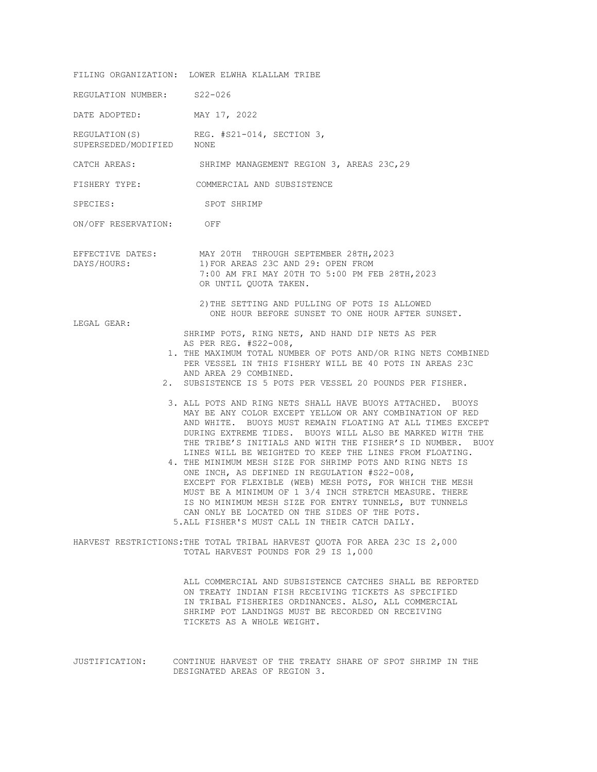FILING ORGANIZATION: LOWER ELWHA KLALLAM TRIBE REGULATION NUMBER: S22-026 DATE ADOPTED: MAY 17, 2022 REGULATION(S) REG. #S21-014, SECTION 3, SUPERSEDED/MODIFIED NONE CATCH AREAS: SHRIMP MANAGEMENT REGION 3, AREAS 23C,29 FISHERY TYPE: COMMERCIAL AND SUBSISTENCE SPECIES: SPOT SHRIMP ON/OFF RESERVATION: OFF EFFECTIVE DATES: MAY 20TH THROUGH SEPTEMBER 28TH,2023 DAYS/HOURS: 1) FOR AREAS 23C AND 29: OPEN FROM 7:00 AM FRI MAY 20TH TO 5:00 PM FEB 28TH,2023 OR UNTIL QUOTA TAKEN. 2)THE SETTING AND PULLING OF POTS IS ALLOWED ONE HOUR BEFORE SUNSET TO ONE HOUR AFTER SUNSET. LEGAL GEAR: SHRIMP POTS, RING NETS, AND HAND DIP NETS AS PER AS PER REG. #S22-008, 1. THE MAXIMUM TOTAL NUMBER OF POTS AND/OR RING NETS COMBINED PER VESSEL IN THIS FISHERY WILL BE 40 POTS IN AREAS 23C AND AREA 29 COMBINED. 2. SUBSISTENCE IS 5 POTS PER VESSEL 20 POUNDS PER FISHER. 3. ALL POTS AND RING NETS SHALL HAVE BUOYS ATTACHED. BUOYS MAY BE ANY COLOR EXCEPT YELLOW OR ANY COMBINATION OF RED AND WHITE. BUOYS MUST REMAIN FLOATING AT ALL TIMES EXCEPT DURING EXTREME TIDES. BUOYS WILL ALSO BE MARKED WITH THE THE TRIBE'S INITIALS AND WITH THE FISHER'S ID NUMBER. BUOY LINES WILL BE WEIGHTED TO KEEP THE LINES FROM FLOATING. 4. THE MINIMUM MESH SIZE FOR SHRIMP POTS AND RING NETS IS ONE INCH, AS DEFINED IN REGULATION #S22-008, EXCEPT FOR FLEXIBLE (WEB) MESH POTS, FOR WHICH THE MESH MUST BE A MINIMUM OF 1 3/4 INCH STRETCH MEASURE. THERE IS NO MINIMUM MESH SIZE FOR ENTRY TUNNELS, BUT TUNNELS CAN ONLY BE LOCATED ON THE SIDES OF THE POTS. 5.ALL FISHER'S MUST CALL IN THEIR CATCH DAILY. HARVEST RESTRICTIONS:THE TOTAL TRIBAL HARVEST QUOTA FOR AREA 23C IS 2,000 TOTAL HARVEST POUNDS FOR 29 IS 1,000 ALL COMMERCIAL AND SUBSISTENCE CATCHES SHALL BE REPORTED

ON TREATY INDIAN FISH RECEIVING TICKETS AS SPECIFIED IN TRIBAL FISHERIES ORDINANCES. ALSO, ALL COMMERCIAL SHRIMP POT LANDINGS MUST BE RECORDED ON RECEIVING TICKETS AS A WHOLE WEIGHT.

JUSTIFICATION: CONTINUE HARVEST OF THE TREATY SHARE OF SPOT SHRIMP IN THE DESIGNATED AREAS OF REGION 3.